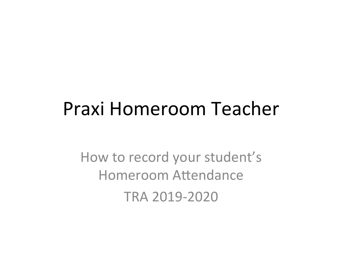## Praxi Homeroom Teacher

How to record your student's Homeroom Attendance TRA 2019-2020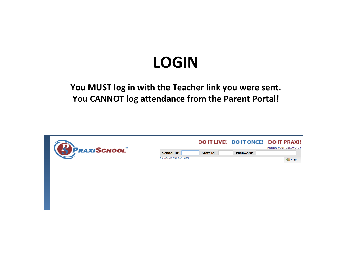## **LOGIN**

## You MUST log in with the Teacher link you were sent. **You CANNOT log attendance from the Parent Portal!**

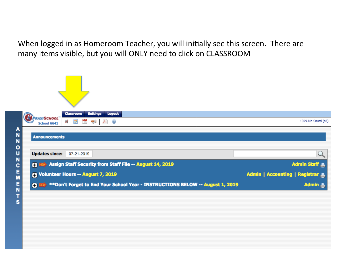When logged in as Homeroom Teacher, you will initially see this screen. There are many items visible, but you will ONLY need to click on CLASSROOM

|                  | <b>PRAXISCHOOL</b>    | <b>Settings</b><br>Logout<br><b>Classroom</b>                                 |                                  |
|------------------|-----------------------|-------------------------------------------------------------------------------|----------------------------------|
|                  | <b>School 6641</b>    | ES.<br>$\overline{u}$<br>阿                                                    | 1079-Mr. Snurd (s2)              |
| A                |                       |                                                                               |                                  |
| N                | <b>Announcements</b>  |                                                                               |                                  |
| N                |                       |                                                                               |                                  |
| 0<br>U           | <b>Updates since:</b> | 07-21-2019                                                                    |                                  |
| N<br>C<br>E<br>M |                       | <b>C REW</b> Assign Staff Security from Staff File -- August 14, 2019         | Admin Staff                      |
|                  |                       | <b>O</b> Volunteer Hours -- August 7, 2019                                    | Admin   Accounting   Registrar A |
| E<br>N           | 田野                    | **Don't Forget to End Your School Year - INSTRUCTIONS BELOW -- August 1, 2019 | Admin A                          |
| -                |                       |                                                                               |                                  |

s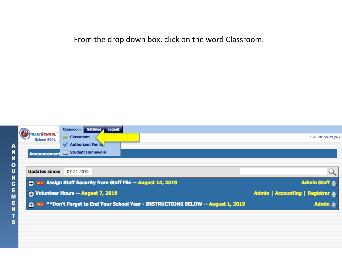From the drop down box, click on the word Classroom.

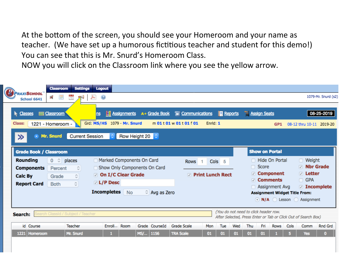At the bottom of the screen, you should see your Homeroom and your name as teacher. (We have set up a humorous fictitious teacher and student for this demo!) You can see that this is Mr. Snurd's Homeroom Class.

NOW you will click on the Classroom link where you see the yellow arrow.

| <b>PRAXISCHOOL</b>                                                                                                                                                                                                                                                                                                                                                                                                                                                               | <b>Settings</b><br><b>Classroom</b>                                                                           | Logout                                                                                                                            |                                                 |               |                                            |          |                                              |  |  |                                                                                                                        |                 |                                           |                                                           | 1079-Mr. Snurd (s2)                    |
|----------------------------------------------------------------------------------------------------------------------------------------------------------------------------------------------------------------------------------------------------------------------------------------------------------------------------------------------------------------------------------------------------------------------------------------------------------------------------------|---------------------------------------------------------------------------------------------------------------|-----------------------------------------------------------------------------------------------------------------------------------|-------------------------------------------------|---------------|--------------------------------------------|----------|----------------------------------------------|--|--|------------------------------------------------------------------------------------------------------------------------|-----------------|-------------------------------------------|-----------------------------------------------------------|----------------------------------------|
| School 6641<br>Classes<br><b>Class:</b><br>1221 - Homeroom -<br>Mr. Snurd<br>≫<br>$\bullet$                                                                                                                                                                                                                                                                                                                                                                                      | ë<br><b>ER</b><br><b>Classroom</b><br><b>Current Session</b>                                                  | $\bullet$<br>ns<br>Grd: MS/HS 1079 - Mr. Snurd                                                                                    | <b>Ill</b> Assignments<br>Row Height 20 $\circ$ | A+ Grade Book | Communications<br>m 01 t 01 w 01 t 01 f 01 | Enrid: 1 | <b>Reports</b>                               |  |  | <b>Assign Seats</b>                                                                                                    | GP <sub>1</sub> |                                           |                                                           | 08-25-2019<br>08-12 thru 10-11 2019-20 |
| <b>Grade Book / Classroom</b><br><b>Rounding</b><br><b>Components</b><br>Calc By<br><b>Report Card</b>                                                                                                                                                                                                                                                                                                                                                                           | $0 \circ$<br>places<br>≎<br>Percent<br>$\hat{\mathbin{\circ}}$<br>Grade<br>$\hat{\mathcal{C}}$<br><b>Both</b> | Marked Components On Card<br>Show Only Components On Card<br><b>⊘ On I/C Clear Grade</b><br>$\vee$ L/P Desc<br><b>Incompletes</b> | <b>No</b>                                       | Avg as Zero   | <b>Rows</b><br>$\overline{v}$              |          | Cols <sub>5</sub><br><b>Print Lunch Rect</b> |  |  | <b>Show on Portal</b><br>□ Hide On Portal<br>Score<br><b>⊘ Component</b><br><b>⊘</b> Comments<br><b>Assignment Avg</b> |                 | n<br><b>Assignment Widget Title From:</b> | Weight<br><b>Nbr Grade</b><br><b>Detter</b><br>$\Box$ GPA | <b>⊘</b> Incomplete                    |
| N/A Lesson Assignment<br>(You do not need to click header row.<br>Search Classid / Subject / Teacher<br>Search:<br>After Selected, Press Enter or Tab or Click Out of Search Box)<br>id Course<br>Teacher<br>Enroll Room<br>Grade CourseId<br><b>Grade Scale</b><br>Thu<br>Fri<br><b>Rows</b><br>Cols<br>Comm<br><b>Rnd Grd</b><br>Mon<br><b>Tue</b><br>Wed<br>Mr. Snurd<br>MS/   1156<br><b>TRA Scale</b><br><b>Yes</b><br>Homeroom<br>01<br>1221<br>01<br>01<br>01<br>01<br>0. |                                                                                                               |                                                                                                                                   |                                                 |               |                                            |          |                                              |  |  |                                                                                                                        |                 |                                           |                                                           |                                        |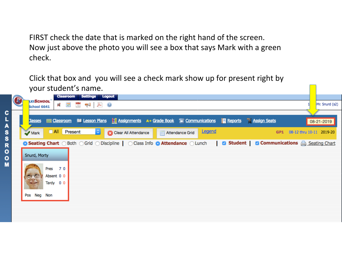FIRST check the date that is marked on the right hand of the screen. Now just above the photo you will see a box that says Mark with a green check. 

Click that box and you will see a check mark show up for present right by your student's name.

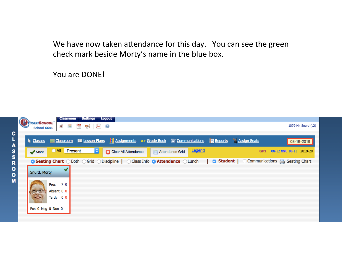We have now taken attendance for this day. You can see the green check mark beside Morty's name in the blue box.

You are DONE!